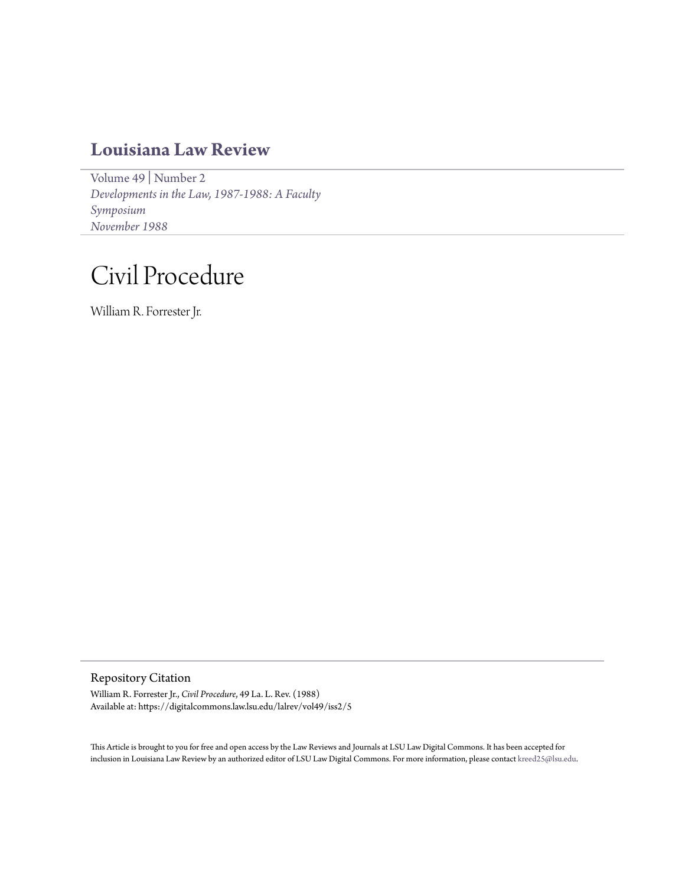## **[Louisiana Law Review](https://digitalcommons.law.lsu.edu/lalrev)**

[Volume 49](https://digitalcommons.law.lsu.edu/lalrev/vol49) | [Number 2](https://digitalcommons.law.lsu.edu/lalrev/vol49/iss2) *[Developments in the Law, 1987-1988: A Faculty](https://digitalcommons.law.lsu.edu/lalrev/vol49/iss2) [Symposium](https://digitalcommons.law.lsu.edu/lalrev/vol49/iss2) [November 1988](https://digitalcommons.law.lsu.edu/lalrev/vol49/iss2)*

# Civil Procedure

William R. Forrester Jr.

Repository Citation

William R. Forrester Jr., *Civil Procedure*, 49 La. L. Rev. (1988) Available at: https://digitalcommons.law.lsu.edu/lalrev/vol49/iss2/5

This Article is brought to you for free and open access by the Law Reviews and Journals at LSU Law Digital Commons. It has been accepted for inclusion in Louisiana Law Review by an authorized editor of LSU Law Digital Commons. For more information, please contact [kreed25@lsu.edu](mailto:kreed25@lsu.edu).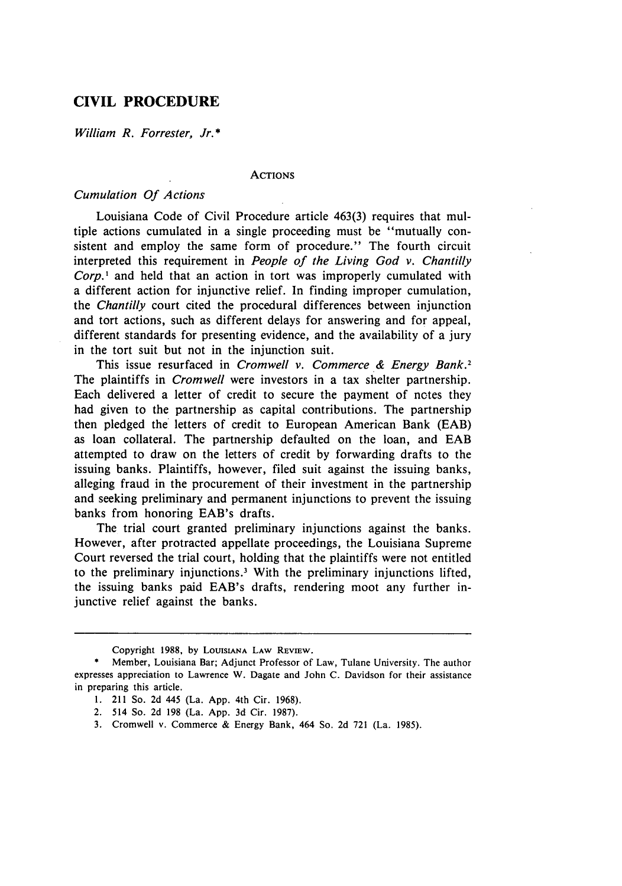### **CIVIL PROCEDURE**

*William R. Forrester, Jr.* **\***

#### **ACTIONS**

#### *Cumulation Of Actions*

Louisiana Code of Civil Procedure article 463(3) requires that multiple actions cumulated in a single proceeding must be "mutually consistent and employ the same form of procedure." The fourth circuit interpreted this requirement in *People of the Living God v. Chantilly Corp.'* and held that an action in tort was improperly cumulated with a different action for injunctive relief. In finding improper cumulation, the *Chantilly* court cited the procedural differences between injunction and tort actions, such as different delays for answering and for appeal, different standards for presenting evidence, and the availability of a jury in the tort suit but not in the injunction suit.

This issue resurfaced in *Cromwell v. Commerce & Energy Bank.2* The plaintiffs in *Cromwell* were investors in a tax shelter partnership. Each delivered a letter of credit to secure the payment of notes they had given to the partnership as capital contributions. The partnership then pledged the letters of credit to European American Bank (EAB) as loan collateral. The partnership defaulted on the loan, and **EAB** attempted to draw on the letters of credit by forwarding drafts to the issuing banks. Plaintiffs, however, filed suit against the issuing banks, alleging fraud in the procurement of their investment in the partnership and seeking preliminary and permanent injunctions to prevent the issuing banks from honoring EAB's drafts.

The trial court granted preliminary injunctions against the banks. However, after protracted appellate proceedings, the Louisiana Supreme Court reversed the trial court, holding that the plaintiffs were not entitled to the preliminary injunctions.' With the preliminary injunctions lifted, the issuing banks paid EAB's drafts, rendering moot any further injunctive relief against the banks.

Copyright 1988, by LOUISIANA LAW REVIEW.

Member, Louisiana Bar; Adjunct Professor of Law, Tulane University. The author expresses appreciation to Lawrence W. Dagate and John C. Davidson for their assistance in preparing this article.

<sup>1. 211</sup> So. 2d 445 (La. **App.** 4th Cir. 1968).

<sup>2. 514</sup> So. 2d 198 (La. App. 3d Cir. 1987).

<sup>3.</sup> Cromwell v. Commerce & Energy Bank, 464 So. 2d 721 (La. 1985).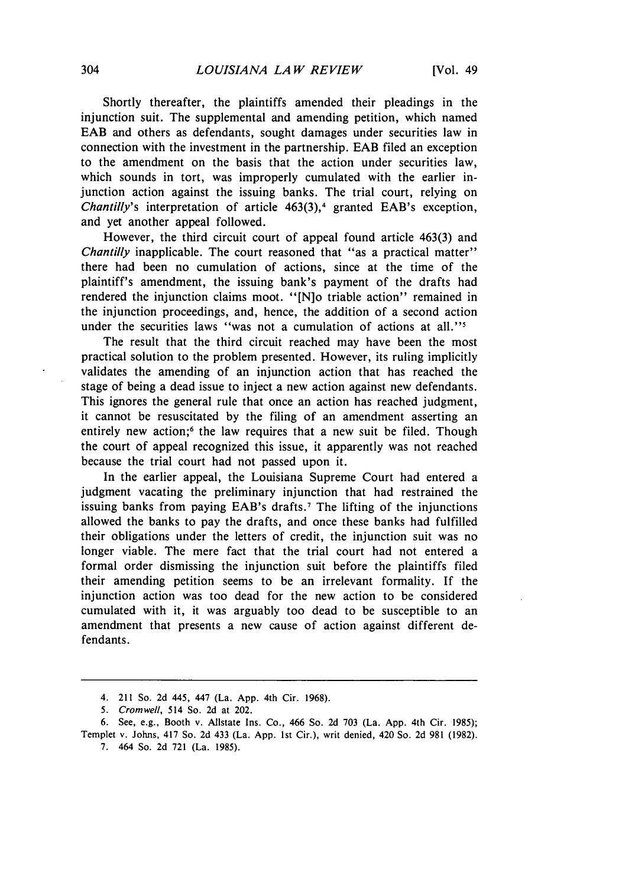Shortly thereafter, the plaintiffs amended their pleadings in the injunction suit. The supplemental and amending petition, which named **EAB** and others as defendants, sought damages under securities law in connection with the investment in the partnership. **EAB** filed an exception to the amendment on the basis that the action under securities law, which sounds in tort, was improperly cumulated with the earlier injunction action against the issuing banks. The trial court, relying on *Chantilly's* interpretation of article 463(3),<sup>4</sup> granted EAB's exception, and yet another appeal followed.

However, the third circuit court of appeal found article 463(3) and *Chantilly* inapplicable. The court reasoned that "as a practical matter" there had been no cumulation of actions, since at the time of the plaintiff's amendment, the issuing bank's payment of the drafts had rendered the injunction claims moot. "[N]o triable action" remained in the injunction proceedings, and, hence, the addition of a second action under the securities laws "was not a cumulation of actions at all."<sup>5</sup>

The result that the third circuit reached may have been the most practical solution to the problem presented. However, its ruling implicitly validates the amending of an injunction action that has reached the stage of being a dead issue to inject a new action against new defendants. This ignores the general rule that once an action has reached judgment, it cannot be resuscitated by the filing of an amendment asserting an entirely new action;<sup>6</sup> the law requires that a new suit be filed. Though the court of appeal recognized this issue, it apparently was not reached because the trial court had not passed upon it.

In the earlier appeal, the Louisiana Supreme Court had entered a judgment vacating the preliminary injunction that had restrained the issuing banks from paying EAB's drafts.<sup>7</sup> The lifting of the injunctions allowed the banks to pay the drafts, and once these banks had fulfilled their obligations under the letters of credit, the injunction suit was no longer viable. The mere fact that the trial court had not entered a formal order dismissing the injunction suit before the plaintiffs filed their amending petition seems to be an irrelevant formality. If the injunction action was too dead for the new action to be considered cumulated with it, it was arguably too dead to be susceptible to an amendment that presents a new cause of action against different defendants.

7. 464 So. 2d 721 (La. 1985).

<sup>4. 211</sup> So. 2d 445, 447 (La. App. 4th Cir. 1968).

<sup>5.</sup> Cromwell, 514 So. 2d at 202.

<sup>6.</sup> See, e.g., Booth v. Allstate Ins. Co., 466 So. 2d 703 (La. App. 4th Cir. 1985); Templet v. Johns, 417 So. 2d 433 (La. App. 1st Cir.), writ denied, 420 So. 2d 981 (1982).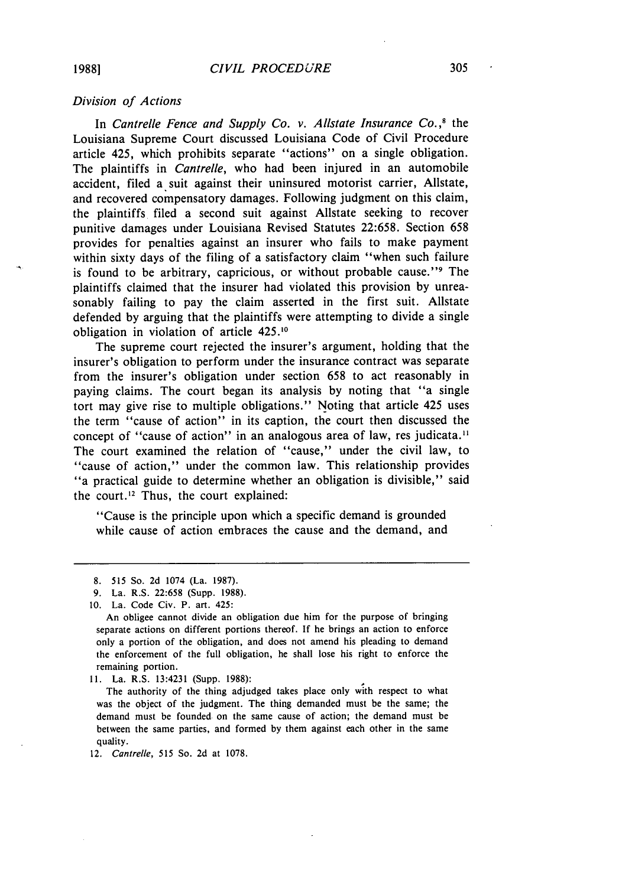#### *Division of Actions*

In *Cantrelle Fence and Supply Co. v. Allstate Insurance Co.*,<sup>8</sup> the Louisiana Supreme Court discussed Louisiana Code of Civil Procedure article 425, which prohibits separate "actions" on a single obligation. The plaintiffs in *Cantrelle,* who had been injured in an automobile accident, filed a suit against their uninsured motorist carrier, Allstate, and recovered compensatory damages. Following judgment on this claim, the plaintiffs filed a second suit against Allstate seeking to recover punitive damages under Louisiana Revised Statutes 22:658. Section 658 provides for penalties against an insurer who fails to make payment within sixty days of the filing of a satisfactory claim "when such failure is found to be arbitrary, capricious, or without probable cause."<sup>9</sup> The plaintiffs claimed that the insurer had violated this provision by unreasonably failing to pay the claim asserted in the first suit. Allstate defended by arguing that the plaintiffs were attempting to divide a single obligation in violation of article 425.10

The supreme court rejected the insurer's argument, holding that the insurer's obligation to perform under the insurance contract was separate from the insurer's obligation under section 658 to act reasonably in paying claims. The court began its analysis by noting that "a single tort may give rise to multiple obligations." Noting that article 425 uses the term "cause of action" in its caption, the court then discussed the concept of "cause of action" in an analogous area of law, res judicata.<sup>11</sup> The court examined the relation of "cause," under the civil law, to "cause of action," under the common law. This relationship provides "a practical guide to determine whether an obligation is divisible," said the court.<sup>12</sup> Thus, the court explained:

"Cause is the principle upon which a specific demand is grounded while cause of action embraces the cause and the demand, and

11. La. R.S. 13:4231 (Supp. 1988):

The authority of the thing adjudged takes place only with respect to what was the object of the judgment. The thing demanded must be the same; the demand must be founded on the same cause of action; the demand must be between the same parties, and formed by them against each other in the same quality.

12. Cantrelle, 515 So. 2d at 1078.

<sup>8. 515</sup> So. 2d 1074 (La. 1987).

<sup>9.</sup> La. R.S. 22:658 (Supp. 1988).

<sup>10.</sup> La. Code Civ. P. art. 425:

An obligee cannot divide an obligation due him for the purpose of bringing separate actions on different portions thereof. If he brings an action to enforce only a portion of the obligation, and does not amend his pleading to demand the enforcement of the full obligation, he shall lose his right to enforce the remaining portion.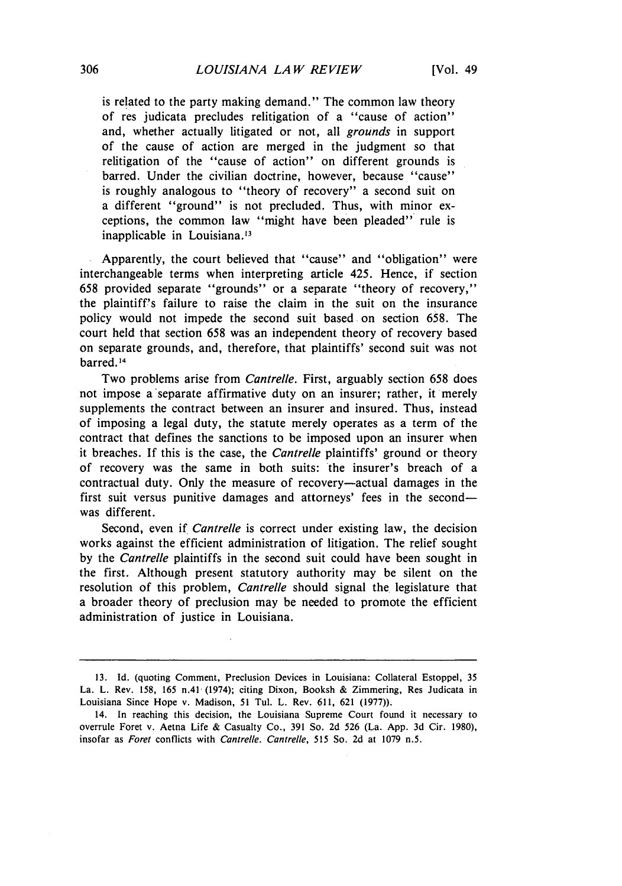is related to the party making demand." The common law theory of res judicata precludes relitigation of a "cause of action" and, whether actually litigated or not, all *grounds* in support of the cause of action are merged in the judgment so that relitigation of the "cause of action" on different grounds is barred. Under the civilian doctrine, however, because "cause" is roughly analogous to "theory of recovery" a second suit on a different "ground" is not precluded. Thus, with minor exceptions, the common law "might have been pleaded" rule is inapplicable in Louisiana.<sup>13</sup>

Apparently, the court believed that "cause" and "obligation" were interchangeable terms when interpreting article 425. Hence, if section 658 provided separate "grounds" or a separate "theory of recovery," the plaintiff's failure to raise the claim in the suit on the insurance policy would not impede the second suit based on section *658.* The court held that section 658 was an independent theory of recovery based on separate grounds, and, therefore, that plaintiffs' second suit was not barred. 14

Two problems arise from *Cantrelle.* First, arguably section 658 does not impose a'separate affirmative duty on an insurer; rather, it merely supplements the contract between an insurer and insured. Thus, instead of imposing a legal duty, the statute merely operates as a term of the contract that defines the sanctions to be imposed upon an insurer when it breaches. If this is the case, the *Cantrelle* plaintiffs' ground or theory of recovery was the same in both suits: the insurer's breach of a contractual duty. Only the measure of recovery-actual damages in the first suit versus punitive damages and attorneys' fees in the secondwas different.

Second, even if *Cantrelle* is correct under existing law, the decision works against the efficient administration of litigation. The relief sought by the *Cantrelle* plaintiffs in the second suit could have been sought in the first. Although present statutory authority may be silent on the resolution of this problem, *Cantrelle* should signal the legislature that a broader theory of preclusion may be needed to promote the efficient administration of justice in Louisiana.

**<sup>13.</sup> Id.** (quoting Comment, Preclusion Devices in Louisiana: Collateral Estoppel, 35 La. L. Rev. 158, 165 n.41 (1974); citing Dixon, Booksh & Zimmering, Res Judicata in Louisiana Since Hope v. Madison, 51 Tul. L. Rev. 611, 621 (1977)).

<sup>14.</sup> In reaching this decision, the Louisiana Supreme Court found it necessary to overrule Foret v. Aetna Life & Casualty Co., 391 So. 2d 526 (La. App. 3d Cir. 1980), insofar as Foret conflicts with Cantrelle. Cantrelle, *515* So. 2d at 1079 n.5.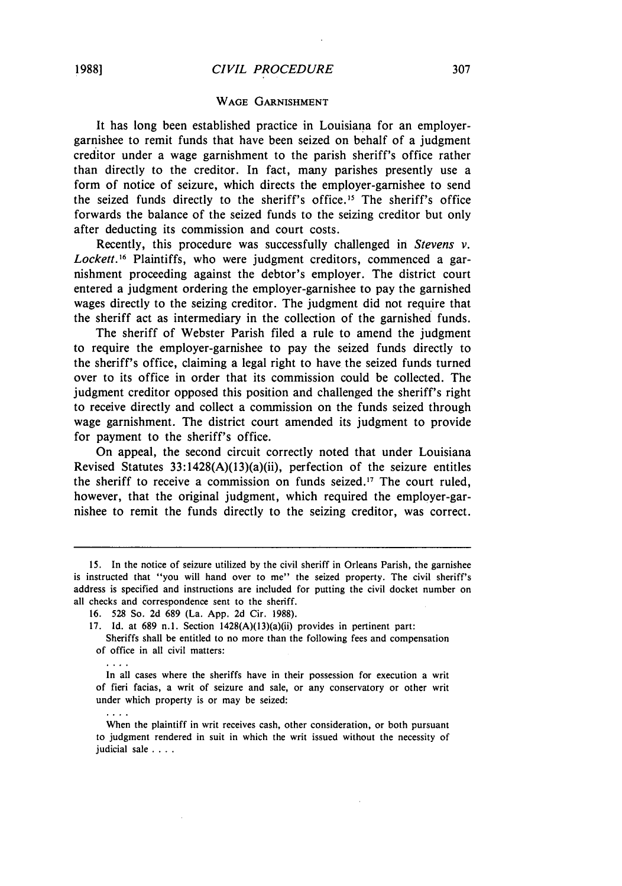#### WAGE GARNISHMENT

It has long been established practice in Louisiana for an employergarnishee to remit funds that have been seized on behalf of a judgment creditor under a wage garnishment to the parish sheriff's office rather than directly to the creditor. In fact, many parishes presently use a form of notice of seizure, which directs the employer-garnishee to send the seized funds directly to the sheriff's office.<sup>15</sup> The sheriff's office forwards the balance of the seized funds to the seizing creditor but only after deducting its commission and court costs.

Recently, this procedure was successfully challenged in *Stevens v.* Lockett.<sup>16</sup> Plaintiffs, who were judgment creditors, commenced a garnishment proceeding against the debtor's employer. The district court entered a judgment ordering the employer-garnishee to pay the garnished wages directly to the seizing creditor. The judgment did not require that the sheriff act as intermediary in the collection of the garnished funds.

The sheriff of Webster Parish filed a rule to amend the judgment to require the employer-garnishee to pay the seized funds directly to the sheriff's office, claiming a legal right to have the seized funds turned over to its office in order that its commission could be collected. The judgment creditor opposed this position and challenged the sheriff's right to receive directly and collect a commission on the funds seized through wage garnishment. The district court amended its judgment to provide for payment to the sheriff's office.

On appeal, the second circuit correctly noted that under Louisiana Revised Statutes 33:1428(A)(13)(a)(ii), perfection of the seizure entitles the sheriff to receive a commission on funds seized. 7 The court ruled, however, that the original judgment, which required the employer-garnishee to remit the funds directly to the seizing creditor, was correct.

 $\cdots$  .

 $\cdots$ 

<sup>15.</sup> In the notice of seizure utilized by the civil sheriff in Orleans Parish, the garnishee is instructed that "you will hand over to me" the seized property. The civil sheriff's address is specified and instructions are included for putting the civil docket number on all checks and correspondence sent to the sheriff.

<sup>16. 528</sup> So. 2d 689 (La. App. 2d Cir. 1988).

<sup>17.</sup> Id. at 689 n.l. Section 1428(A)(13)(a)(ii) provides in pertinent part:

Sheriffs shall be entitled to no more than the following fees and compensation of office in all civil matters:

In all cases where the sheriffs have in their possession for execution a writ of fieri facias, a writ of seizure and sale, or any conservatory or other writ under which property is or may be seized:

When the plaintiff in writ receives cash, other consideration, or both pursuant to judgment rendered in suit in which the writ issued without the necessity of judicial sale . **. ..**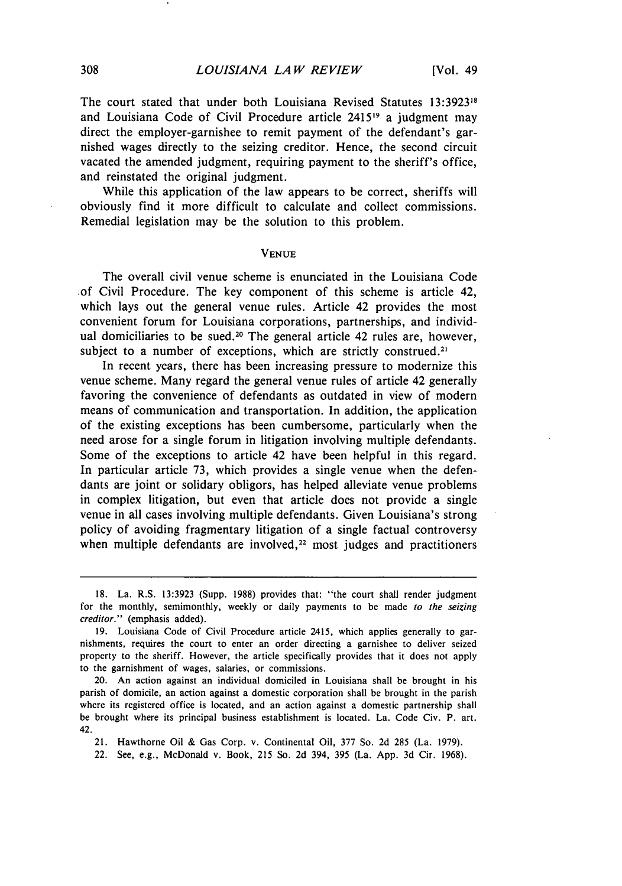The court stated that under both Louisiana Revised Statutes 13:39231s and Louisiana Code of Civil Procedure article 241519 a judgment may direct the employer-garnishee to remit payment of the defendant's garnished wages directly to the seizing creditor. Hence, the second circuit vacated the amended judgment, requiring payment to the sheriff's office, and reinstated the original judgment.

While this application of the law appears to be correct, sheriffs will obviously find it more difficult to calculate and collect commissions. Remedial legislation may be the solution to this problem.

#### **VENUE**

The overall civil venue scheme is enunciated in the Louisiana Code of Civil Procedure. The key component of this scheme is article 42, which lays out the general venue rules. Article 42 provides the most convenient forum for Louisiana corporations, partnerships, and individual domiciliaries to be sued.<sup>20</sup> The general article 42 rules are, however, subject to a number of exceptions, which are strictly construed.<sup>21</sup>

In recent years, there has been increasing pressure to modernize this venue scheme. Many regard the general venue rules of article 42 generally favoring the convenience of defendants as outdated in view of modern means of communication and transportation. In addition, the application of the existing exceptions has been cumbersome, particularly when the need arose for a single forum in litigation involving multiple defendants. Some of the exceptions to article 42 have been helpful in this regard. In particular article 73, which provides a single venue when the defendants are joint or solidary obligors, has helped alleviate venue problems in complex litigation, but even that article does not provide a single venue in all cases involving multiple defendants. Given Louisiana's strong policy of avoiding fragmentary litigation of a single factual controversy when multiple defendants are involved, $22$  most judges and practitioners

20. An action against an individual domiciled in Louisiana shall be brought in his parish of domicile, an action against a domestic corporation shall be brought in the parish where its registered office is located, and an action against a domestic partnership shall be brought where its principal business establishment is located. La. Code Civ. P. art. 42.

21. Hawthorne Oil **&** Gas Corp. v. Continental Oil, 377 So. 2d 285 (La. 1979).

22. See, e.g., McDonald v. Book, 215 So. **2d** 394, 395 (La. App. 3d Cir. 1968).

<sup>18.</sup> La. R.S. 13:3923 (Supp. 1988) provides that: "the court shall render judgment for the monthly, semimonthly, weekly or daily payments to be made *to the seizing creditor."* (emphasis added).

<sup>19.</sup> Louisiana Code of Civil Procedure article 2415, which applies generally to garnishments, requires the court to enter an order directing a garnishee to deliver seized property to the sheriff. However, the article specifically provides that it does not apply to the garnishment of wages, salaries, or commissions.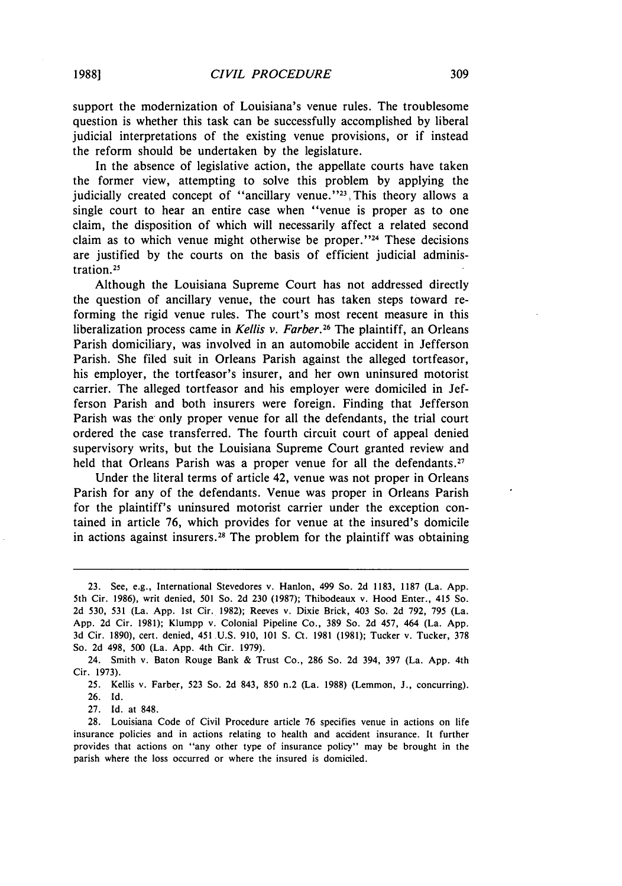support the modernization of Louisiana's venue rules. The troublesome question is whether this task can be successfully accomplished by liberal judicial interpretations of the existing venue provisions, or if instead the reform should be undertaken by the legislature.

In the absence of legislative action, the appellate courts have taken the former view, attempting to solve this problem by applying the judicially created concept of "ancillary venue."<sup>23</sup>, This theory allows a single court to hear an entire case when "venue is proper as to one claim, the disposition of which will necessarily affect a related second claim as to which venue might otherwise be proper."<sup>24</sup> These decisions are justified by the courts on the basis of efficient judicial administration.<sup>25</sup>

Although the Louisiana Supreme Court has not addressed directly the question of ancillary venue, the court has taken steps toward reforming the rigid venue rules. The court's most recent measure in this liberalization process came in *Kellis v. Farber.26* The plaintiff, an Orleans Parish domiciliary, was involved in an automobile accident in Jefferson Parish. She filed suit in Orleans Parish against the alleged tortfeasor, his employer, the tortfeasor's insurer, and her own uninsured motorist carrier. The alleged tortfeasor and his employer were domiciled in Jefferson Parish and both insurers were foreign. Finding that Jefferson Parish was the only proper venue for all the defendants, the trial court ordered the case transferred. The fourth circuit court of appeal denied supervisory writs, but the Louisiana Supreme Court granted review and held that Orleans Parish was a proper venue for all the defendants.<sup>27</sup>

Under the literal terms of article 42, venue was not proper in Orleans Parish for any of the defendants. Venue was proper in Orleans Parish for the plaintiff's uninsured motorist carrier under the exception contained in article 76, which provides for venue at the insured's domicile in actions against insurers.<sup>28</sup> The problem for the plaintiff was obtaining

27. Id. at 848.

<sup>23.</sup> See, e.g., International Stevedores v. Hanlon, 499 So. 2d 1183, 1187 (La. App. 5th Cir. 1986), writ denied, 501 So. 2d 230 (1987); Thibodeaux v. Hood Enter., *415* So. 2d 530, 531 (La. App. 1st Cir. 1982); Reeves v. Dixie Brick, 403 So. 2d 792, 795 (La. App. 2d Cir. 1981); Klumpp v. Colonial Pipeline Co., 389 So. 2d 457, 464 (La. App. 3d Cir. 1890), cert. denied, 451 U.S. 910, 101 **S.** Ct. 1981 (1981); Tucker v. Tucker, 378 So. 2d 498, 500 (La. App. 4th Cir. 1979).

<sup>24.</sup> Smith v. Baton Rouge Bank & Trust Co., 286 So. 2d 394, 397 (La. App. 4th Cir. 1973).

<sup>25.</sup> Kellis v. Farber, 523 So. 2d 843, 850 n.2 (La. 1988) (Lemmon, **J.,** concurring). 26. Id.

<sup>28.</sup> Louisiana Code of Civil Procedure article 76 specifies venue in actions on life insurance policies and in actions relating to health and accident insurance. It further provides that actions on "any other type of insurance policy" may be brought in the parish where the loss occurred or where the insured is domiciled.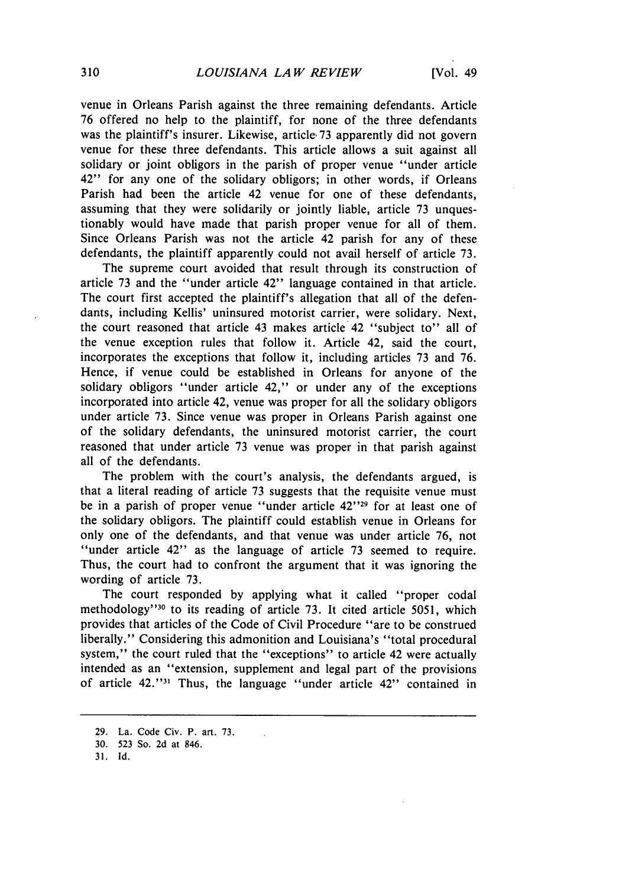venue in Orleans Parish against the three remaining defendants. Article 76 offered no help to the plaintiff, for none of the three defendants was the plaintiff's insurer. Likewise, article 73 apparently did not govern venue for these three defendants. This article allows a suit against all solidary or joint obligors in the parish of proper venue "under article 42" for any one of the solidary obligors; in other words, if Orleans Parish had been the article 42 venue for one of these defendants, assuming that they were solidarily or jointly liable, article 73 unquestionably would have made that parish proper venue for all of them. Since Orleans Parish was not the article 42 parish for any of these defendants, the plaintiff apparently could not avail herself of article 73.

The supreme court avoided that result through its construction of article 73 and the "under article 42" language contained in that article. The court first accepted the plaintiff's allegation that all of the defendants, including Kellis' uninsured motorist carrier, were solidary. Next, the court reasoned that article 43 makes article 42 "subject to" all of the venue exception rules that follow it. Article 42, said the court, incorporates the exceptions that follow it, including articles 73 and 76. Hence, if venue could be established in Orleans for anyone of the solidary obligors "under article 42," or under any of the exceptions incorporated into article 42, venue was proper for all the solidary obligors under article 73. Since venue was proper in Orleans Parish against one of the solidary defendants, the uninsured motorist carrier, the court reasoned that under article 73 venue was proper in that parish against all of the defendants.

The problem with the court's analysis, the defendants argued, is that a literal reading of article 73 suggests that the requisite venue must be in a parish of proper venue "under article 42"29 for at least one of the solidary obligors. The plaintiff could establish venue in Orleans for only one of the defendants, and that venue was under article 76, not "under article 42" as the language of article 73 seemed to require. Thus, the court had to confront the argument that it was ignoring the wording of article 73.

The court responded by applying what it called "proper codal methodology"<sup>30</sup> to its reading of article 73. It cited article 5051, which provides that articles of the Code of Civil Procedure "are to be construed liberally." Considering this admonition and Louisiana's "total procedural system," the court ruled that the "exceptions" to article 42 were actually intended as an "extension, supplement and legal part of the provisions of article 42."<sup>31</sup> Thus, the language "under article 42" contained in

<sup>29.</sup> La. Code Civ. P. art. 73.

<sup>30. 523</sup> So. 2d at 846.

<sup>31.</sup> **Id.**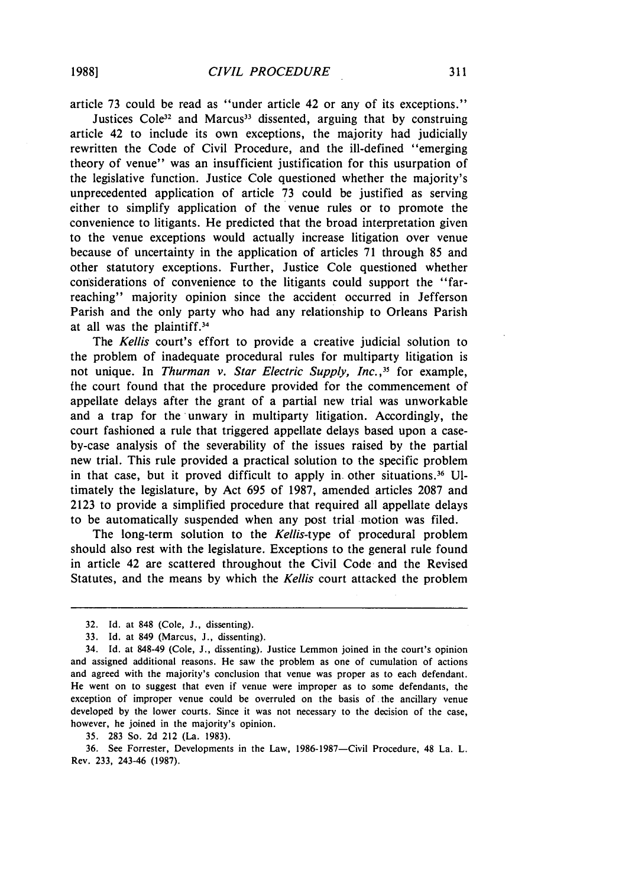article 73 could be read as "under article 42 or any of its exceptions."

Justices Cole<sup>32</sup> and Marcus<sup>33</sup> dissented, arguing that by construing article 42 to include its own exceptions, the majority had judicially rewritten the Code of Civil Procedure, and the ill-defined "emerging theory of venue" was an insufficient justification for this usurpation of the legislative function. Justice Cole questioned whether the majority's unprecedented application of article 73 could be justified as serving either to simplify application of the venue rules or to promote the convenience to litigants. He predicted that the broad interpretation given to the venue exceptions would actually increase litigation over venue because of uncertainty in the application of articles 71 through 85 and other statutory exceptions. Further, Justice Cole questioned whether considerations of convenience to the litigants could support the "farreaching" majority opinion since the accident occurred in Jefferson Parish and the only party who had any relationship to Orleans Parish at all was the plaintiff.<sup>34</sup>

The *Kellis* court's effort to provide a creative judicial solution to the problem of inadequate procedural rules for multiparty litigation is not unique. In *Thurman v. Star Electric Supply, Inc.* **'3** for example, the court found that the procedure provided for the commencement of appellate delays after the grant of a partial new trial was unworkable and a trap for the unwary in multiparty litigation. Accordingly, the court fashioned a rule that triggered appellate delays based upon a caseby-case analysis of the severability of the issues raised by the partial new trial. This rule provided a practical solution to the specific problem in that case, but it proved difficult to apply in. other situations.3 <sup>6</sup>**Ul**timately the legislature, by Act 695 of 1987, amended articles 2087 and 2123 to provide a simplified procedure that required all appellate delays to be automatically suspended when any post trial motion was filed.

The long-term solution to the *Kellis-type* of procedural problem should also rest with the legislature. Exceptions to the general rule found in article 42 are scattered throughout the Civil Code and the Revised Statutes, and the means by which the *Kellis* court attacked the problem

35. 283 So. 2d 212 (La. 1983).

36. See Forrester, Developments in the Law, 1986-1987-Civil Procedure, 48 La. L. Rev. 233, 243-46 (1987).

<sup>32.</sup> Id. at 848 (Cole, J., dissenting).

<sup>33.</sup> Id. at 849 (Marcus, J., dissenting).

<sup>34.</sup> Id. at 848-49 (Cole, **J.,** dissenting). Justice Lemmon joined in the court's opinion and assigned additional reasons. He saw the problem as one of cumulation of actions and agreed with the majority's conclusion that venue was proper as to each defendant. He went on to suggest that even if venue were improper as to some defendants, the exception of improper venue could be overruled on the basis of the ancillary venue developed by the lower courts. Since it was not necessary to the decision of the case, however, he joined in the majority's opinion.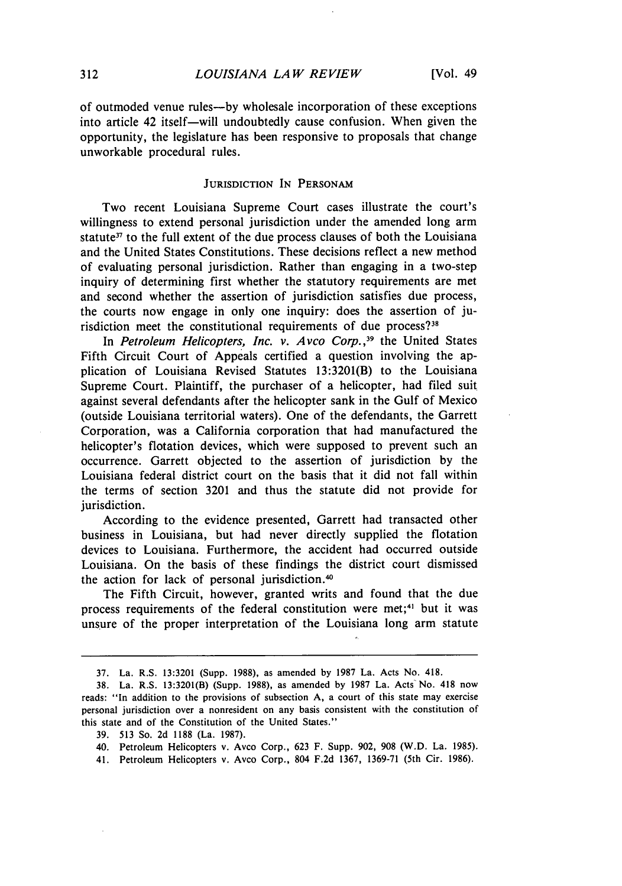of outmoded venue rules-by wholesale incorporation of these exceptions into article 42 itself-will undoubtedly cause confusion. When given the opportunity, the legislature has been responsive to proposals that change unworkable procedural rules.

#### **JURISDICTION IN** PERSONAM

Two recent Louisiana Supreme Court cases illustrate the court's willingness to extend personal jurisdiction under the amended long arm statute<sup>37</sup> to the full extent of the due process clauses of both the Louisiana and the United States Constitutions. These decisions reflect a new method of evaluating personal jurisdiction. Rather than engaging in a two-step inquiry of determining first whether the statutory requirements are met and second whether the assertion of jurisdiction satisfies due process, the courts now engage in only one inquiry: does the assertion of jurisdiction meet the constitutional requirements of due process?<sup>31</sup>

In Petroleum Helicopters, Inc. *v. Avco Corp.,39* the United States Fifth Circuit Court of Appeals certified a question involving the application of Louisiana Revised Statutes 13:3201(B) to the Louisiana Supreme Court. Plaintiff, the purchaser of a helicopter, had filed suit against several defendants after the helicopter sank in the Gulf of Mexico (outside Louisiana territorial waters). One of the defendants, the Garrett Corporation, was a California corporation that had manufactured the helicopter's flotation devices, which were supposed to prevent such an occurrence. Garrett objected to the assertion of jurisdiction by the Louisiana federal district court on the basis that it did not fall within the terms of section 3201 and thus the statute did not provide for jurisdiction.

According to the evidence presented, Garrett had transacted other business in Louisiana, but had never directly supplied the flotation devices to Louisiana. Furthermore, the accident had occurred outside Louisiana. On the basis of these findings the district court dismissed the action for lack of personal jurisdiction.<sup>40</sup>

The Fifth Circuit, however, granted writs and found that the due process requirements of the federal constitution were met;<sup>41</sup> but it was unsure of the proper interpretation of the Louisiana long arm statute

<sup>37.</sup> La. R.S. 13:3201 (Supp. 1988), as amended by 1987 La. Acts No. 418.

<sup>38.</sup> La. R.S. 13:3201(B) (Supp. 1988), as amended by 1987 La. Acts No. 418 now reads: "In addition to the provisions of subsection A, a court of this state may exercise personal jurisdiction over a nonresident on any basis consistent with the constitution of this state and of the Constitution of the United States."

<sup>39. 513</sup> So. 2d 1188 (La. 1987).

<sup>40.</sup> Petroleum Helicopters v. Avco Corp., 623 F. Supp. 902, 908 (W.D. La. 1985).

<sup>41.</sup> Petroleum Helicopters v. Avco Corp., 804 F.2d 1367, 1369-71 (5th Cir. 1986).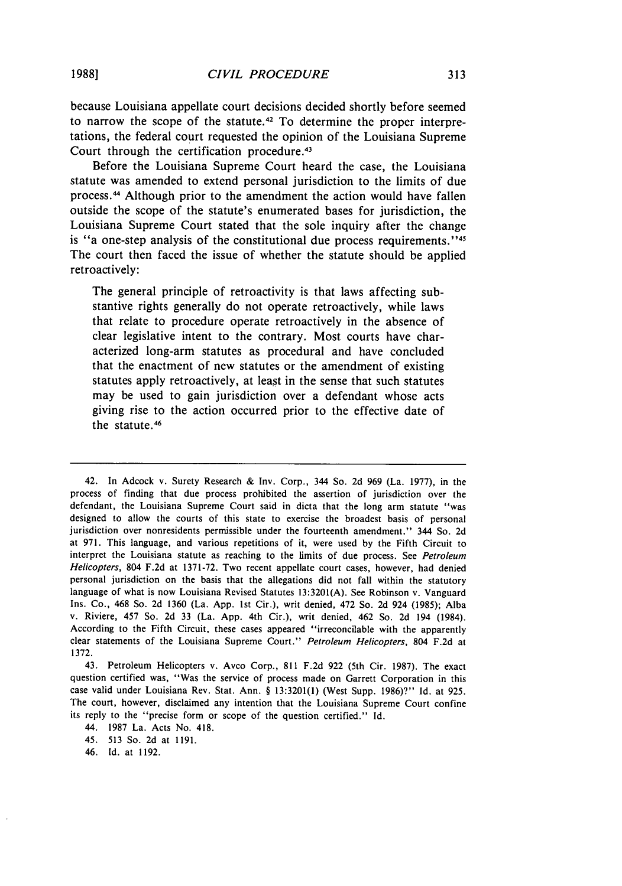because Louisiana appellate court decisions decided shortly before seemed to narrow the scope of the statute.<sup>42</sup> To determine the proper interpretations, the federal court requested the opinion of the Louisiana Supreme Court through the certification procedure.<sup>43</sup>

Before the Louisiana Supreme Court heard the case, the Louisiana statute was amended to extend personal jurisdiction to the limits of due process.<sup>44</sup> Although prior to the amendment the action would have fallen outside the scope of the statute's enumerated bases for jurisdiction, the Louisiana Supreme Court stated that the sole inquiry after the change is "a one-step analysis of the constitutional due process requirements."<sup>45</sup> The court then faced the issue of whether the statute should be applied retroactively:

The general principle of retroactivity is that laws affecting substantive rights generally do not operate retroactively, while laws that relate to procedure operate retroactively in the absence of clear legislative intent to the contrary. Most courts have characterized long-arm statutes as procedural and have concluded that the enactment of new statutes or the amendment of existing statutes apply retroactively, at least in the sense that such statutes may be used to gain jurisdiction over a defendant whose acts giving rise to the action occurred prior to the effective date of the statute.<sup>46</sup>

42. In Adcock v. Surety Research & Inv. Corp., 344 So. 2d 969 (La. 1977), in the process of finding that due process prohibited the assertion of jurisdiction over the defendant, the Louisiana Supreme Court said in dicta that the long arm statute "was designed to allow the courts of this state to exercise the broadest basis of personal jurisdiction over nonresidents permissible under the fourteenth amendment." 344 So. 2d at 971. This language, and various repetitions of it, were used by the Fifth Circuit to interpret the Louisiana statute as reaching to the limits of due process. See Petroleum *Helicopters,* 804 F.2d at 1371-72. Two recent appellate court cases, however, had denied personal jurisdiction on the basis that the allegations did not fall within the statutory language of what is now Louisiana Revised Statutes 13:3201(A). See Robinson v. Vanguard Ins. Co., 468 So. 2d 1360 (La. App. 1st Cir.), writ denied, 472 So. 2d 924 (1985); Alba v. Riviere, 457 So. 2d 33 (La. App. 4th Cir.), writ denied, 462 So. 2d 194 (1984). According to the Fifth Circuit, these cases appeared "irreconcilable with the apparently clear statements of the Louisiana Supreme Court." *Petroleum Helicopters,* 804 F.2d at 1372.

43. Petroleum Helicopters v. Avco Corp., 811 F.2d 922 (5th Cir. 1987). The exact question certified was, "Was the service of process made on Garrett Corporation in this case valid under Louisiana Rev. Stat. Ann. **§** 13:3201(1) (West Supp. 1986)?" Id. at 925. The court, however, disclaimed any intention that the Louisiana Supreme Court confine its reply to the "precise form or scope of the question certified." Id.

44. 1987 La. Acts No. 418.

<sup>45. 513</sup> So. 2d at 1191.

<sup>46.</sup> Id. at 1192.